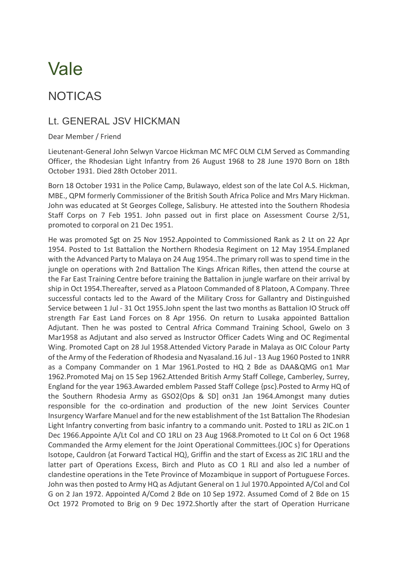## Vale

## NOTICAS

## Lt. GENERAL JSV HICKMAN

## Dear Member / Friend

Lieutenant-General John Selwyn Varcoe Hickman MC MFC OLM CLM Served as Commanding Officer, the Rhodesian Light Infantry from 26 August 1968 to 28 June 1970 Born on 18th October 1931. Died 28th October 2011.

Born 18 October 1931 in the Police Camp, Bulawayo, eldest son of the late Col A.S. Hickman, MBE., QPM formerly Commissioner of the British South Africa Police and Mrs Mary Hickman. John was educated at St Georges College, Salisbury. He attested into the Southern Rhodesia Staff Corps on 7 Feb 1951. John passed out in first place on Assessment Course 2/51, promoted to corporal on 21 Dec 1951.

He was promoted Sgt on 25 Nov 1952.Appointed to Commissioned Rank as 2 Lt on 22 Apr 1954. Posted to 1st Battalion the Northern Rhodesia Regiment on 12 May 1954.Emplaned with the Advanced Party to Malaya on 24 Aug 1954..The primary roll was to spend time in the jungle on operations with 2nd Battalion The Kings African Rifles, then attend the course at the Far East Training Centre before training the Battalion in jungle warfare on their arrival by ship in Oct 1954.Thereafter, served as a Platoon Commanded of 8 Platoon, A Company. Three successful contacts led to the Award of the Military Cross for Gallantry and Distinguished Service between 1 Jul - 31 Oct 1955.John spent the last two months as Battalion IO Struck off strength Far East Land Forces on 8 Apr 1956. On return to Lusaka appointed Battalion Adjutant. Then he was posted to Central Africa Command Training School, Gwelo on 3 Mar1958 as Adjutant and also served as Instructor Officer Cadets Wing and OC Regimental Wing. Promoted Capt on 28 Jul 1958.Attended Victory Parade in Malaya as OIC Colour Party of the Army of the Federation of Rhodesia and Nyasaland.16 Jul - 13 Aug 1960 Posted to 1NRR as a Company Commander on 1 Mar 1961.Posted to HQ 2 Bde as DAA&QMG on1 Mar 1962.Promoted Maj on 15 Sep 1962.Attended British Army Staff College, Camberley, Surrey, England for the year 1963.Awarded emblem Passed Staff College {psc}.Posted to Army HQ of the Southern Rhodesia Army as GSO2{Ops & SD] on31 Jan 1964.Amongst many duties responsible for the co-ordination and production of the new Joint Services Counter Insurgency Warfare Manuel and for the new establishment of the 1st Battalion The Rhodesian Light Infantry converting from basic infantry to a commando unit. Posted to 1RLI as 2IC.on 1 Dec 1966.Appointe A/Lt Col and CO 1RLI on 23 Aug 1968.Promoted to Lt Col on 6 Oct 1968 Commanded the Army element for the Joint Operational Committees.{JOC s} for Operations Isotope, Cauldron {at Forward Tactical HQ}, Griffin and the start of Excess as 2IC 1RLI and the latter part of Operations Excess, Birch and Pluto as CO 1 RLI and also led a number of clandestine operations in the Tete Province of Mozambique in support of Portuguese Forces. John was then posted to Army HQ as Adjutant General on 1 Jul 1970.Appointed A/Col and Col G on 2 Jan 1972. Appointed A/Comd 2 Bde on 10 Sep 1972. Assumed Comd of 2 Bde on 15 Oct 1972 Promoted to Brig on 9 Dec 1972.Shortly after the start of Operation Hurricane